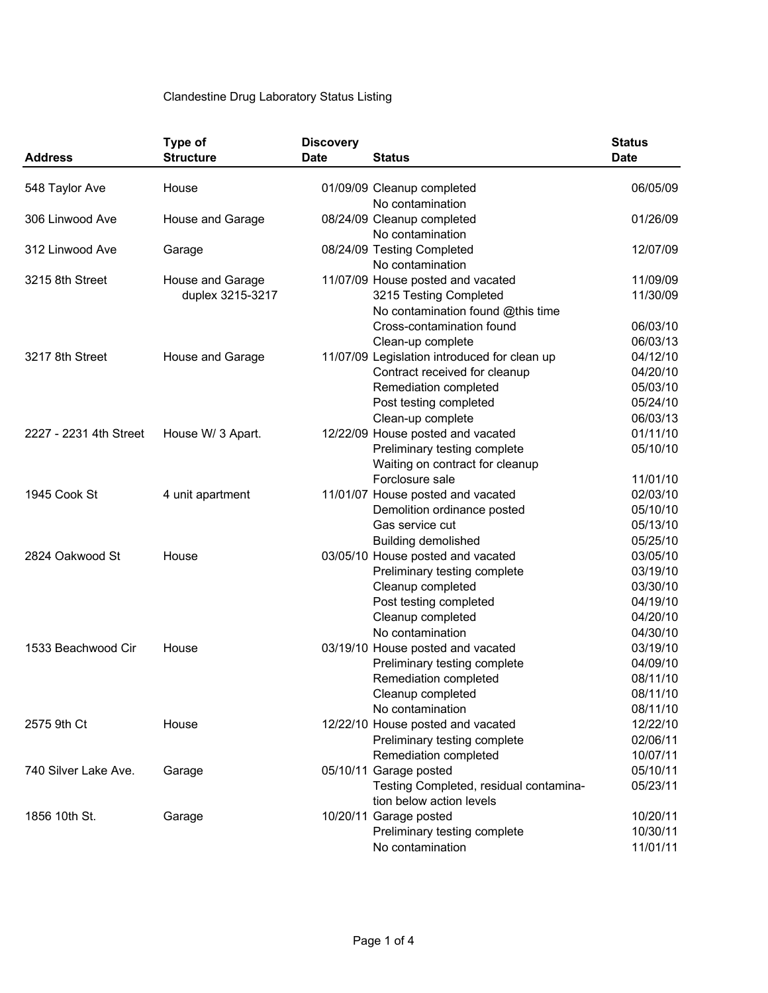## Clandestine Drug Laboratory Status Listing

| <b>Address</b>         | Type of<br><b>Structure</b>          | <b>Discovery</b><br><b>Date</b> | <b>Status</b>                                | <b>Status</b><br><b>Date</b> |
|------------------------|--------------------------------------|---------------------------------|----------------------------------------------|------------------------------|
| 548 Taylor Ave         | House                                |                                 | 01/09/09 Cleanup completed                   | 06/05/09                     |
|                        |                                      |                                 | No contamination                             |                              |
| 306 Linwood Ave        | House and Garage                     |                                 | 08/24/09 Cleanup completed                   | 01/26/09                     |
|                        |                                      |                                 | No contamination                             |                              |
| 312 Linwood Ave        | Garage                               |                                 | 08/24/09 Testing Completed                   | 12/07/09                     |
|                        |                                      |                                 | No contamination                             |                              |
| 3215 8th Street        | House and Garage<br>duplex 3215-3217 |                                 | 11/07/09 House posted and vacated            | 11/09/09                     |
|                        |                                      |                                 | 3215 Testing Completed                       | 11/30/09                     |
|                        |                                      |                                 | No contamination found @this time            |                              |
|                        |                                      |                                 | Cross-contamination found                    | 06/03/10                     |
|                        |                                      |                                 | Clean-up complete                            | 06/03/13                     |
| 3217 8th Street        | House and Garage                     |                                 | 11/07/09 Legislation introduced for clean up | 04/12/10                     |
|                        |                                      |                                 | Contract received for cleanup                | 04/20/10                     |
|                        |                                      |                                 | Remediation completed                        | 05/03/10                     |
|                        |                                      |                                 | Post testing completed                       | 05/24/10                     |
|                        |                                      |                                 | Clean-up complete                            | 06/03/13                     |
| 2227 - 2231 4th Street | House W/ 3 Apart.                    |                                 | 12/22/09 House posted and vacated            | 01/11/10                     |
|                        |                                      |                                 | Preliminary testing complete                 | 05/10/10                     |
|                        |                                      |                                 | Waiting on contract for cleanup              |                              |
|                        |                                      |                                 | Forclosure sale                              | 11/01/10                     |
| 1945 Cook St           | 4 unit apartment                     |                                 | 11/01/07 House posted and vacated            | 02/03/10                     |
|                        |                                      |                                 | Demolition ordinance posted                  | 05/10/10                     |
|                        |                                      |                                 | Gas service cut                              | 05/13/10                     |
|                        |                                      |                                 | <b>Building demolished</b>                   | 05/25/10                     |
| 2824 Oakwood St        | House                                |                                 | 03/05/10 House posted and vacated            | 03/05/10                     |
|                        |                                      |                                 | Preliminary testing complete                 | 03/19/10                     |
|                        |                                      |                                 | Cleanup completed                            | 03/30/10                     |
|                        |                                      |                                 | Post testing completed                       | 04/19/10                     |
|                        |                                      |                                 | Cleanup completed                            | 04/20/10                     |
|                        |                                      |                                 | No contamination                             | 04/30/10                     |
| 1533 Beachwood Cir     | House                                |                                 | 03/19/10 House posted and vacated            | 03/19/10                     |
|                        |                                      |                                 | Preliminary testing complete                 | 04/09/10                     |
|                        |                                      |                                 | Remediation completed                        | 08/11/10                     |
|                        |                                      |                                 | Cleanup completed                            | 08/11/10                     |
|                        |                                      |                                 | No contamination                             | 08/11/10                     |
| 2575 9th Ct            | House                                |                                 | 12/22/10 House posted and vacated            | 12/22/10                     |
|                        |                                      |                                 | Preliminary testing complete                 | 02/06/11                     |
|                        |                                      |                                 | Remediation completed                        | 10/07/11                     |
| 740 Silver Lake Ave.   | Garage                               |                                 | 05/10/11 Garage posted                       | 05/10/11                     |
|                        |                                      |                                 | Testing Completed, residual contamina-       | 05/23/11                     |
|                        |                                      |                                 | tion below action levels                     |                              |
| 1856 10th St.          | Garage                               |                                 | 10/20/11 Garage posted                       | 10/20/11                     |
|                        |                                      |                                 | Preliminary testing complete                 | 10/30/11                     |
|                        |                                      |                                 | No contamination                             | 11/01/11                     |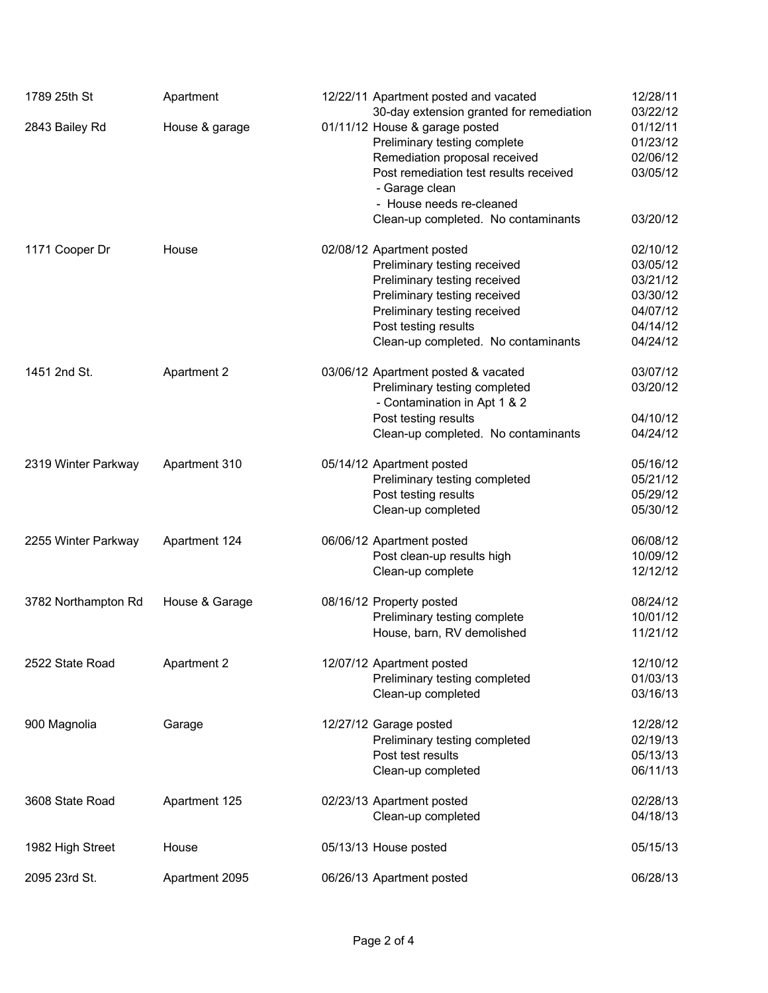| 1789 25th St        | Apartment          | 12/22/11 Apartment posted and vacated<br>30-day extension granted for remediation | 12/28/11<br>03/22/12 |
|---------------------|--------------------|-----------------------------------------------------------------------------------|----------------------|
| 2843 Bailey Rd      | House & garage     | 01/11/12 House & garage posted                                                    | 01/12/11             |
|                     |                    | Preliminary testing complete                                                      | 01/23/12             |
|                     |                    | Remediation proposal received                                                     | 02/06/12             |
|                     |                    | Post remediation test results received                                            | 03/05/12             |
|                     |                    | - Garage clean                                                                    |                      |
|                     |                    | - House needs re-cleaned                                                          |                      |
|                     |                    | Clean-up completed. No contaminants                                               | 03/20/12             |
| 1171 Cooper Dr      | House              | 02/08/12 Apartment posted                                                         | 02/10/12             |
|                     |                    | Preliminary testing received                                                      | 03/05/12             |
|                     |                    | Preliminary testing received                                                      | 03/21/12             |
|                     |                    | Preliminary testing received                                                      | 03/30/12             |
|                     |                    | Preliminary testing received                                                      | 04/07/12             |
|                     |                    | Post testing results                                                              | 04/14/12             |
|                     |                    | Clean-up completed. No contaminants                                               | 04/24/12             |
| 1451 2nd St.        | <b>Apartment 2</b> | 03/06/12 Apartment posted & vacated                                               | 03/07/12             |
|                     |                    | Preliminary testing completed                                                     | 03/20/12             |
|                     |                    | - Contamination in Apt 1 & 2                                                      |                      |
|                     |                    | Post testing results                                                              | 04/10/12             |
|                     |                    | Clean-up completed. No contaminants                                               | 04/24/12             |
| 2319 Winter Parkway | Apartment 310      | 05/14/12 Apartment posted                                                         | 05/16/12             |
|                     |                    | Preliminary testing completed                                                     | 05/21/12             |
|                     |                    | Post testing results                                                              | 05/29/12             |
|                     |                    | Clean-up completed                                                                | 05/30/12             |
| 2255 Winter Parkway | Apartment 124      | 06/06/12 Apartment posted                                                         | 06/08/12             |
|                     |                    | Post clean-up results high                                                        | 10/09/12             |
|                     |                    | Clean-up complete                                                                 | 12/12/12             |
| 3782 Northampton Rd | House & Garage     | 08/16/12 Property posted                                                          | 08/24/12             |
|                     |                    | Preliminary testing complete                                                      | 10/01/12             |
|                     |                    | House, barn, RV demolished                                                        | 11/21/12             |
| 2522 State Road     | <b>Apartment 2</b> | 12/07/12 Apartment posted                                                         | 12/10/12             |
|                     |                    | Preliminary testing completed                                                     | 01/03/13             |
|                     |                    | Clean-up completed                                                                | 03/16/13             |
| 900 Magnolia        | Garage             | 12/27/12 Garage posted                                                            | 12/28/12             |
|                     |                    | Preliminary testing completed                                                     | 02/19/13             |
|                     |                    | Post test results                                                                 | 05/13/13             |
|                     |                    | Clean-up completed                                                                | 06/11/13             |
| 3608 State Road     | Apartment 125      | 02/23/13 Apartment posted                                                         | 02/28/13             |
|                     |                    | Clean-up completed                                                                | 04/18/13             |
| 1982 High Street    | House              | 05/13/13 House posted                                                             | 05/15/13             |
| 2095 23rd St.       | Apartment 2095     | 06/26/13 Apartment posted                                                         | 06/28/13             |
|                     |                    |                                                                                   |                      |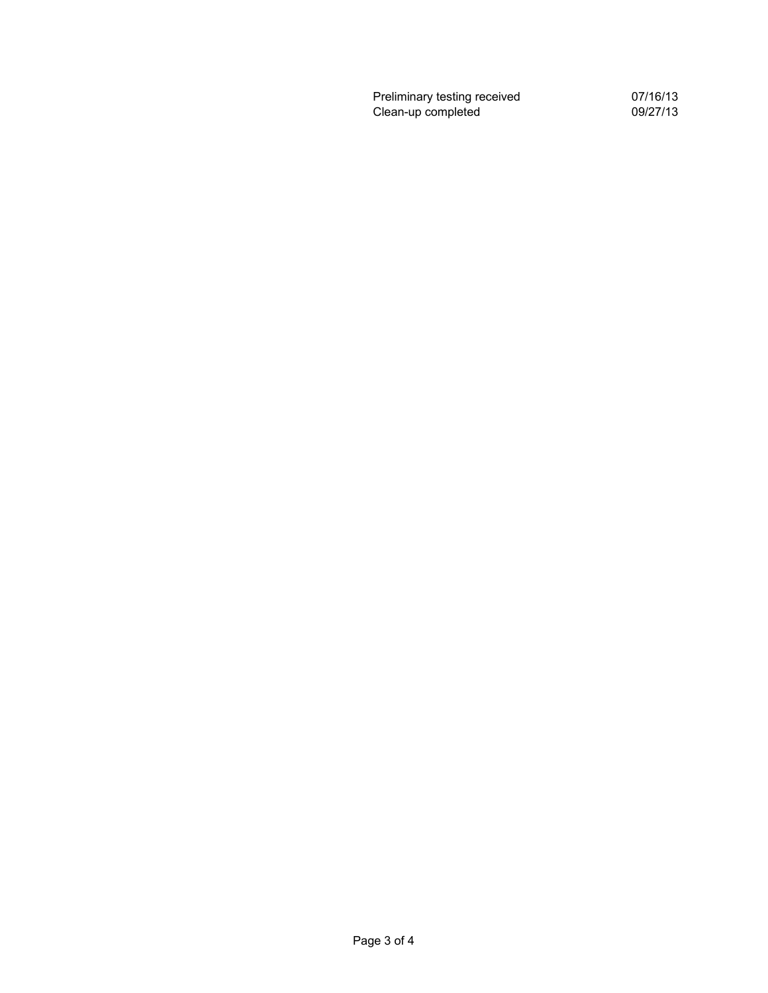Preliminary testing received **DRTS** 07/16/13 Clean-up completed 09/27/13